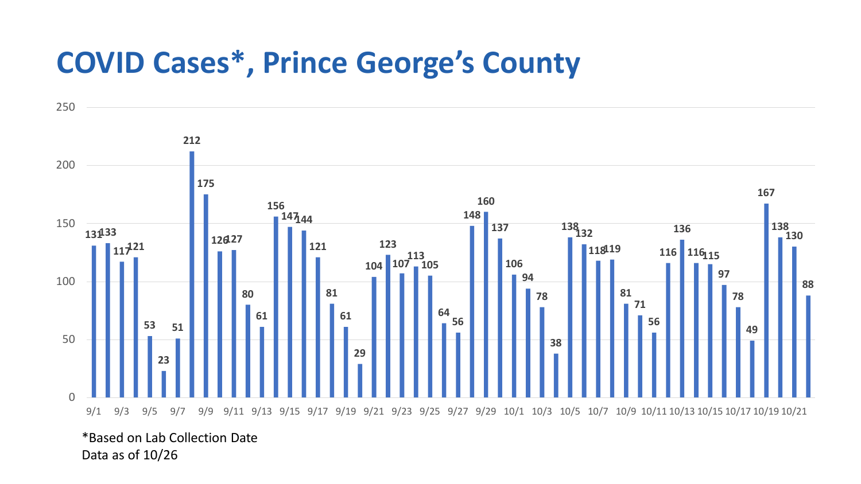## **COVID Cases\*, Prince George's County**



\*Based on Lab Collection Date Data as of 10/26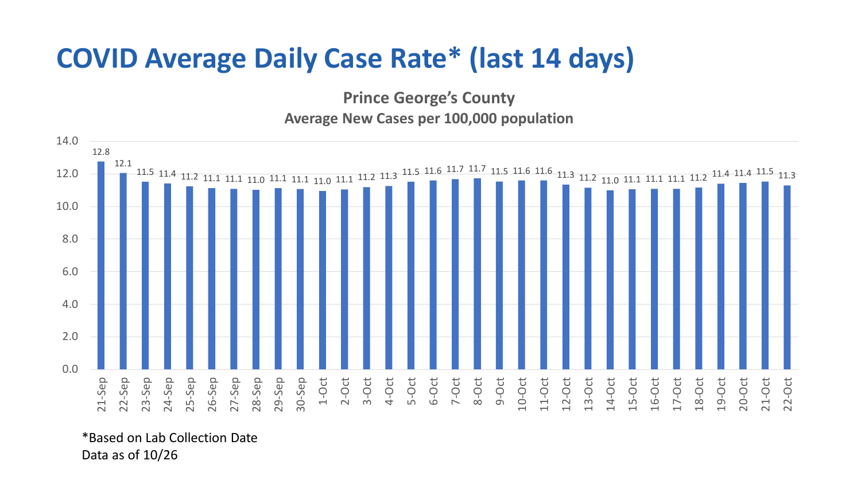## **COVID Average Daily Case Rate\* (last 14 days)**

**Prince George's County Average New Cases per 100,000 population**



\*Based on Lab Collection Date Data as of 10/26